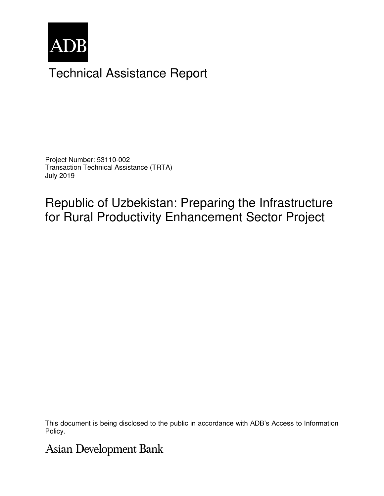

# Technical Assistance Report

Project Number: 53110-002 Transaction Technical Assistance (TRTA) July 2019

Republic of Uzbekistan: Preparing the Infrastructure for Rural Productivity Enhancement Sector Project

This document is being disclosed to the public in accordance with ADB's Access to Information Policy.

**Asian Development Bank**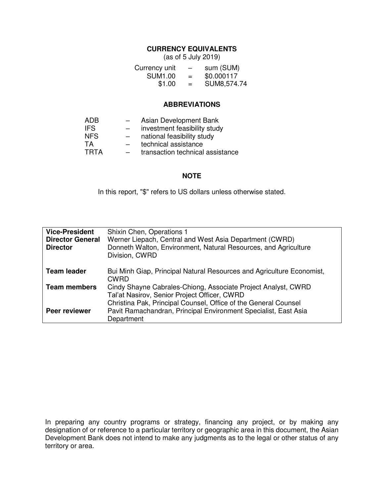## **CURRENCY EQUIVALENTS**

(as of 5 July 2019)

| Currency unit  | $\overline{\phantom{0}}$ | sum (SUM)   |
|----------------|--------------------------|-------------|
| <b>SUM1.00</b> | $=$                      | \$0.000117  |
| \$1.00         | $=$                      | SUM8,574.74 |

#### **ABBREVIATIONS**

| ADB         |                          | Asian Development Bank           |
|-------------|--------------------------|----------------------------------|
| IFS.        | $\overline{\phantom{0}}$ | investment feasibility study     |
| <b>NFS</b>  | $\overline{\phantom{0}}$ | national feasibility study       |
| TA          | $\overline{\phantom{0}}$ | technical assistance             |
| <b>TRTA</b> | $\overline{\phantom{0}}$ | transaction technical assistance |

#### **NOTE**

In this report, "\$" refers to US dollars unless otherwise stated.

| <b>Vice-President</b><br><b>Director General</b><br><b>Director</b> | Shixin Chen, Operations 1<br>Werner Liepach, Central and West Asia Department (CWRD)<br>Donneth Walton, Environment, Natural Resources, and Agriculture<br>Division, CWRD        |
|---------------------------------------------------------------------|----------------------------------------------------------------------------------------------------------------------------------------------------------------------------------|
| <b>Team leader</b>                                                  | Bui Minh Giap, Principal Natural Resources and Agriculture Economist,<br><b>CWRD</b>                                                                                             |
| <b>Team members</b>                                                 | Cindy Shayne Cabrales-Chiong, Associate Project Analyst, CWRD<br>Tal'at Nasirov, Senior Project Officer, CWRD<br>Christina Pak, Principal Counsel, Office of the General Counsel |
| <b>Peer reviewer</b>                                                | Pavit Ramachandran, Principal Environment Specialist, East Asia<br>Department                                                                                                    |

In preparing any country programs or strategy, financing any project, or by making any designation of or reference to a particular territory or geographic area in this document, the Asian Development Bank does not intend to make any judgments as to the legal or other status of any territory or area.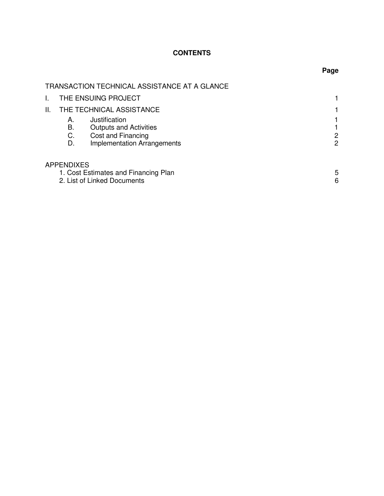# **CONTENTS**

|     |                   | TRANSACTION TECHNICAL ASSISTANCE AT A GLANCE                        |        |
|-----|-------------------|---------------------------------------------------------------------|--------|
| I.  |                   | THE ENSUING PROJECT                                                 |        |
| II. |                   | THE TECHNICAL ASSISTANCE                                            |        |
|     | А.                | Justification                                                       |        |
|     | В.                | <b>Outputs and Activities</b>                                       |        |
|     | C.                | Cost and Financing                                                  | 2      |
|     | D.                | <b>Implementation Arrangements</b>                                  | 2      |
|     | <b>APPENDIXES</b> |                                                                     |        |
|     |                   | 1. Cost Estimates and Financing Plan<br>2. List of Linked Documents | 5<br>6 |

# **Page**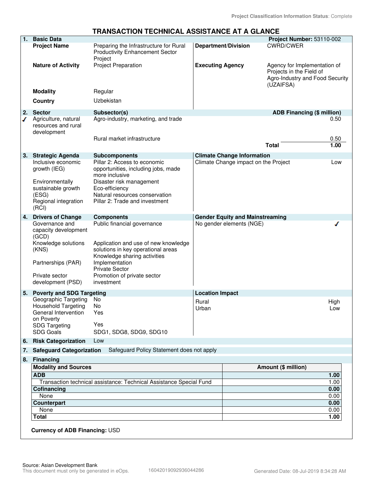#### **TRANSACTION TECHNICAL ASSISTANCE AT A GLANCE**

| 1. | <b>Basic Data</b>                                                                                                                    |                                                                                                                                                                                                         |                                                                    | Project Number: 53110-002                                                                                |              |
|----|--------------------------------------------------------------------------------------------------------------------------------------|---------------------------------------------------------------------------------------------------------------------------------------------------------------------------------------------------------|--------------------------------------------------------------------|----------------------------------------------------------------------------------------------------------|--------------|
|    | <b>Project Name</b>                                                                                                                  | Preparing the Infrastructure for Rural<br><b>Productivity Enhancement Sector</b>                                                                                                                        | <b>Department/Division</b>                                         | <b>CWRD/CWER</b>                                                                                         |              |
|    | <b>Nature of Activity</b>                                                                                                            | Project<br><b>Project Preparation</b>                                                                                                                                                                   | <b>Executing Agency</b>                                            | Agency for Implementation of<br>Projects in the Field of<br>Agro-Industry and Food Security<br>(UZAIFSA) |              |
|    | <b>Modality</b>                                                                                                                      | Regular                                                                                                                                                                                                 |                                                                    |                                                                                                          |              |
|    | Country                                                                                                                              | Uzbekistan                                                                                                                                                                                              |                                                                    |                                                                                                          |              |
| 2. | <b>Sector</b>                                                                                                                        | Subsector(s)                                                                                                                                                                                            |                                                                    | ADB Financing (\$ million)                                                                               |              |
| ℐ  | Agriculture, natural<br>resources and rural<br>development                                                                           | Agro-industry, marketing, and trade<br>Rural market infrastructure                                                                                                                                      |                                                                    |                                                                                                          | 0.50<br>0.50 |
|    |                                                                                                                                      |                                                                                                                                                                                                         |                                                                    | <b>Total</b>                                                                                             | 1.00         |
| 3. | <b>Strategic Agenda</b>                                                                                                              | <b>Subcomponents</b>                                                                                                                                                                                    | <b>Climate Change Information</b>                                  |                                                                                                          |              |
|    | Inclusive economic<br>growth (IEG)<br>Environmentally<br>sustainable growth<br>(ESG)<br>Regional integration<br>(RCI)                | Pillar 2: Access to economic<br>opportunities, including jobs, made<br>more inclusive<br>Disaster risk management<br>Eco-efficiency<br>Natural resources conservation<br>Pillar 2: Trade and investment | Climate Change impact on the Project                               |                                                                                                          | Low          |
| 4. | <b>Drivers of Change</b><br>Governance and                                                                                           | <b>Components</b><br>Public financial governance                                                                                                                                                        | <b>Gender Equity and Mainstreaming</b><br>No gender elements (NGE) |                                                                                                          |              |
|    | capacity development<br>(GCD)<br>Knowledge solutions<br>(KNS)<br>Partnerships (PAR)<br>Private sector<br>development (PSD)           | Application and use of new knowledge<br>solutions in key operational areas<br>Knowledge sharing activities<br>Implementation<br><b>Private Sector</b><br>Promotion of private sector<br>investment      |                                                                    |                                                                                                          |              |
| 5. | <b>Poverty and SDG Targeting</b>                                                                                                     |                                                                                                                                                                                                         | <b>Location Impact</b>                                             |                                                                                                          |              |
|    | Geographic Targeting<br><b>Household Targeting</b><br>General Intervention<br>on Poverty<br><b>SDG Targeting</b><br><b>SDG Goals</b> | No<br>No<br>Yes<br>Yes<br>SDG1, SDG8, SDG9, SDG10                                                                                                                                                       | Rural<br>Urban                                                     | High<br>Low                                                                                              |              |
| 6. | <b>Risk Categorization</b>                                                                                                           | Low                                                                                                                                                                                                     |                                                                    |                                                                                                          |              |
| 7. | <b>Safeguard Categorization</b>                                                                                                      | Safeguard Policy Statement does not apply                                                                                                                                                               |                                                                    |                                                                                                          |              |
| 8. | <b>Financing</b>                                                                                                                     |                                                                                                                                                                                                         |                                                                    |                                                                                                          |              |
|    | <b>Modality and Sources</b>                                                                                                          |                                                                                                                                                                                                         |                                                                    | Amount (\$ million)                                                                                      |              |
|    | <b>ADB</b>                                                                                                                           |                                                                                                                                                                                                         |                                                                    | 1.00                                                                                                     |              |
|    |                                                                                                                                      | Transaction technical assistance: Technical Assistance Special Fund                                                                                                                                     |                                                                    | 1.00                                                                                                     |              |
|    | Cofinancing<br>None                                                                                                                  |                                                                                                                                                                                                         |                                                                    | 0.00<br>0.00                                                                                             |              |
|    | <b>Counterpart</b>                                                                                                                   |                                                                                                                                                                                                         |                                                                    | 0.00                                                                                                     |              |
|    | None                                                                                                                                 |                                                                                                                                                                                                         |                                                                    | 0.00                                                                                                     |              |
|    | <b>Total</b>                                                                                                                         |                                                                                                                                                                                                         |                                                                    | 1.00                                                                                                     |              |
|    | Currency of ADB Financing: USD                                                                                                       |                                                                                                                                                                                                         |                                                                    |                                                                                                          |              |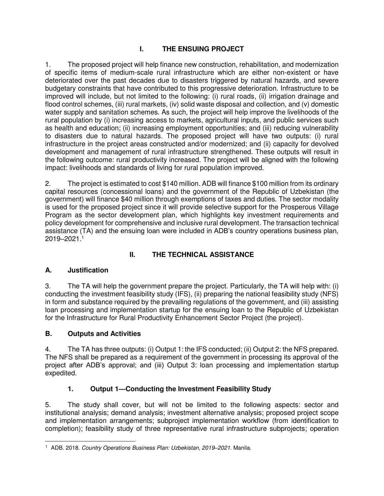# **I. THE ENSUING PROJECT**

1. The proposed project will help finance new construction, rehabilitation, and modernization of specific items of medium-scale rural infrastructure which are either non-existent or have deteriorated over the past decades due to disasters triggered by natural hazards, and severe budgetary constraints that have contributed to this progressive deterioration. Infrastructure to be improved will include, but not limited to the following: (i) rural roads, (ii) irrigation drainage and flood control schemes, (iii) rural markets, (iv) solid waste disposal and collection, and (v) domestic water supply and sanitation schemes. As such, the project will help improve the livelihoods of the rural population by (i) increasing access to markets, agricultural inputs, and public services such as health and education; (ii) increasing employment opportunities; and (iii) reducing vulnerability to disasters due to natural hazards. The proposed project will have two outputs: (i) rural infrastructure in the project areas constructed and/or modernized; and (ii) capacity for devolved development and management of rural infrastructure strengthened. These outputs will result in the following outcome: rural productivity increased. The project will be aligned with the following impact: livelihoods and standards of living for rural population improved.

2. The project is estimated to cost \$140 million. ADB will finance \$100 million from its ordinary capital resources (concessional loans) and the government of the Republic of Uzbekistan (the government) will finance \$40 million through exemptions of taxes and duties. The sector modality is used for the proposed project since it will provide selective support for the Prosperous Village Program as the sector development plan, which highlights key investment requirements and policy development for comprehensive and inclusive rural development. The transaction technical assistance (TA) and the ensuing loan were included in ADB's country operations business plan, 2019–2021. 1

# **II. THE TECHNICAL ASSISTANCE**

## **A. Justification**

3. The TA will help the government prepare the project. Particularly, the TA will help with: (i) conducting the investment feasibility study (IFS), (ii) preparing the national feasibility study (NFS) in form and substance required by the prevailing regulations of the government, and (iii) assisting loan processing and implementation startup for the ensuing loan to the Republic of Uzbekistan for the Infrastructure for Rural Productivity Enhancement Sector Project (the project).

## **B. Outputs and Activities**

4. The TA has three outputs: (i) Output 1: the IFS conducted; (ii) Output 2: the NFS prepared. The NFS shall be prepared as a requirement of the government in processing its approval of the project after ADB's approval; and (iii) Output 3: loan processing and implementation startup expedited.

# **1. Output 1—Conducting the Investment Feasibility Study**

5. The study shall cover, but will not be limited to the following aspects: sector and institutional analysis; demand analysis; investment alternative analysis; proposed project scope and implementation arrangements; subproject implementation workflow (from identification to completion); feasibility study of three representative rural infrastructure subprojects; operation

 $\overline{a}$ 1 ADB. 2018. Country Operations Business Plan: Uzbekistan, 2019*–*2021. Manila.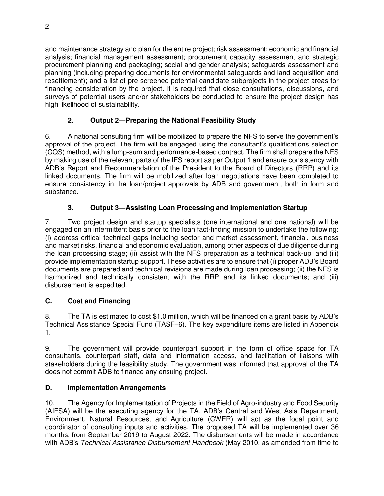and maintenance strategy and plan for the entire project; risk assessment; economic and financial analysis; financial management assessment; procurement capacity assessment and strategic procurement planning and packaging; social and gender analysis; safeguards assessment and planning (including preparing documents for environmental safeguards and land acquisition and resettlement); and a list of pre-screened potential candidate subprojects in the project areas for financing consideration by the project. It is required that close consultations, discussions, and surveys of potential users and/or stakeholders be conducted to ensure the project design has high likelihood of sustainability.

# **2. Output 2—Preparing the National Feasibility Study**

6. A national consulting firm will be mobilized to prepare the NFS to serve the government's approval of the project. The firm will be engaged using the consultant's qualifications selection (CQS) method, with a lump-sum and performance-based contract. The firm shall prepare the NFS by making use of the relevant parts of the IFS report as per Output 1 and ensure consistency with ADB's Report and Recommendation of the President to the Board of Directors (RRP) and its linked documents. The firm will be mobilized after loan negotiations have been completed to ensure consistency in the loan/project approvals by ADB and government, both in form and substance.

# **3. Output 3—Assisting Loan Processing and Implementation Startup**

7. Two project design and startup specialists (one international and one national) will be engaged on an intermittent basis prior to the loan fact-finding mission to undertake the following: (i) address critical technical gaps including sector and market assessment, financial, business and market risks, financial and economic evaluation, among other aspects of due diligence during the loan processing stage; (ii) assist with the NFS preparation as a technical back-up; and (iii) provide implementation startup support. These activities are to ensure that (i) proper ADB's Board documents are prepared and technical revisions are made during loan processing; (ii) the NFS is harmonized and technically consistent with the RRP and its linked documents; and (iii) disbursement is expedited.

# **C. Cost and Financing**

8. The TA is estimated to cost \$1.0 million, which will be financed on a grant basis by ADB's Technical Assistance Special Fund (TASF–6). The key expenditure items are listed in Appendix 1.

9. The government will provide counterpart support in the form of office space for TA consultants, counterpart staff, data and information access, and facilitation of liaisons with stakeholders during the feasibility study. The government was informed that approval of the TA does not commit ADB to finance any ensuing project.

# **D. Implementation Arrangements**

10. The Agency for Implementation of Projects in the Field of Agro-industry and Food Security (AIFSA) will be the executing agency for the TA. ADB's Central and West Asia Department, Environment, Natural Resources, and Agriculture (CWER) will act as the focal point and coordinator of consulting inputs and activities. The proposed TA will be implemented over 36 months, from September 2019 to August 2022. The disbursements will be made in accordance with ADB's Technical Assistance Disbursement Handbook (May 2010, as amended from time to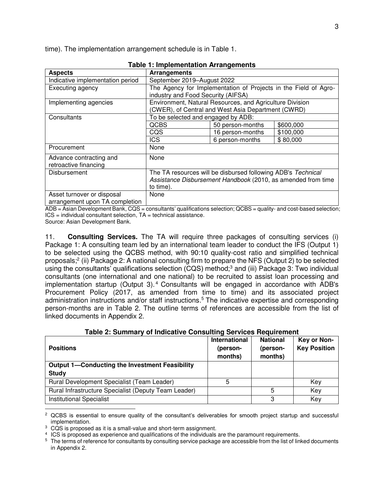time). The implementation arrangement schedule is in Table 1.

| <b>Aspects</b>                   | Arrangements                                                    |                                                              |           |  |  |
|----------------------------------|-----------------------------------------------------------------|--------------------------------------------------------------|-----------|--|--|
| Indicative implementation period | September 2019-August 2022                                      |                                                              |           |  |  |
| Executing agency                 | The Agency for Implementation of Projects in the Field of Agro- |                                                              |           |  |  |
|                                  | industry and Food Security (AIFSA)                              |                                                              |           |  |  |
| Implementing agencies            |                                                                 | Environment, Natural Resources, and Agriculture Division     |           |  |  |
|                                  | (CWER), of Central and West Asia Department (CWRD)              |                                                              |           |  |  |
| Consultants                      | To be selected and engaged by ADB:                              |                                                              |           |  |  |
|                                  | QCBS                                                            | 50 person-months                                             | \$600,000 |  |  |
|                                  | CQS<br>16 person-months<br>\$100,000                            |                                                              |           |  |  |
|                                  | <b>ICS</b>                                                      | 6 person-months                                              | \$80,000  |  |  |
| Procurement                      | None                                                            |                                                              |           |  |  |
| Advance contracting and          | None                                                            |                                                              |           |  |  |
| retroactive financing            |                                                                 |                                                              |           |  |  |
| Disbursement                     |                                                                 | The TA resources will be disbursed following ADB's Technical |           |  |  |
|                                  | Assistance Disbursement Handbook (2010, as amended from time    |                                                              |           |  |  |
|                                  | to time).                                                       |                                                              |           |  |  |
| Asset turnover or disposal       | None                                                            |                                                              |           |  |  |
| arrangement upon TA completion   |                                                                 |                                                              |           |  |  |

|  | <b>Table 1: Implementation Arrangements</b> |  |
|--|---------------------------------------------|--|
|--|---------------------------------------------|--|

ADB = Asian Development Bank, CQS = consultants' qualifications selection; QCBS = quality- and cost-based selection;  $ICS = individual constant selection. TA = technical assistance.$ 

Source: Asian Development Bank.

11. **Consulting Services.** The TA will require three packages of consulting services (i) Package 1: A consulting team led by an international team leader to conduct the IFS (Output 1) to be selected using the QCBS method, with 90:10 quality-cost ratio and simplified technical proposals;<sup>2</sup> (ii) Package 2: A national consulting firm to prepare the NFS (Output 2) to be selected using the consultants' qualifications selection (CQS) method;<sup>3</sup> and (iii) Package 3: Two individual consultants (one international and one national) to be recruited to assist loan processing and implementation startup (Output 3).<sup>4</sup> Consultants will be engaged in accordance with ADB's Procurement Policy (2017, as amended from time to time) and its associated project administration instructions and/or staff instructions.<sup>5</sup> The indicative expertise and corresponding person-months are in Table 2. The outline terms of references are accessible from the list of linked documents in Appendix 2.

| Table 2: Summary of Indicative Consulting Services Requirement |  |  |  |  |
|----------------------------------------------------------------|--|--|--|--|
|----------------------------------------------------------------|--|--|--|--|

| <b>Positions</b>                                      | International<br>(person-<br>months) | <b>National</b><br>(person-<br>months) | Key or Non-<br><b>Key Position</b> |
|-------------------------------------------------------|--------------------------------------|----------------------------------------|------------------------------------|
| <b>Output 1-Conducting the Investment Feasibility</b> |                                      |                                        |                                    |
| <b>Study</b>                                          |                                      |                                        |                                    |
| Rural Development Specialist (Team Leader)            | 5                                    |                                        | Key                                |
| Rural Infrastructure Specialist (Deputy Team Leader)  |                                      | 5                                      | Key                                |
| <b>Institutional Specialist</b>                       |                                      | 3                                      | Key                                |

<sup>2</sup> QCBS is essential to ensure quality of the consultant's deliverables for smooth project startup and successful implementation.

<sup>3</sup> CQS is proposed as it is a small-value and short-term assignment.

4 ICS is proposed as experience and qualifications of the individuals are the paramount requirements.

 $5$  The terms of reference for consultants by consulting service package are accessible from the list of linked documents in Appendix 2.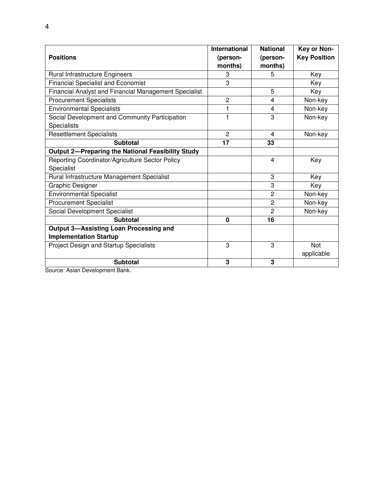| <b>Positions</b>                                         | <b>International</b><br>(person-<br>months) | <b>National</b><br>(person-<br>months) | Key or Non-<br><b>Key Position</b> |
|----------------------------------------------------------|---------------------------------------------|----------------------------------------|------------------------------------|
| <b>Rural Infrastructure Engineers</b>                    | 3                                           | 5                                      | Key                                |
| <b>Financial Specialist and Economist</b>                | 3                                           |                                        | Key                                |
| Financial Analyst and Financial Management Specialist    |                                             | 5                                      | Key                                |
| <b>Procurement Specialists</b>                           | $\overline{c}$                              | 4                                      | Non-key                            |
| <b>Environmental Specialists</b>                         |                                             | 4                                      | Non-key                            |
| Social Development and Community Participation           | 1                                           | 3                                      | Non-key                            |
| Specialists                                              |                                             |                                        |                                    |
| <b>Resettlement Specialists</b>                          | $\overline{c}$                              | 4                                      | Non-key                            |
| <b>Subtotal</b>                                          | 17                                          | 33                                     |                                    |
| <b>Output 2-Preparing the National Feasibility Study</b> |                                             |                                        |                                    |
| Reporting Coordinator/Agriculture Sector Policy          |                                             | 4                                      | Key                                |
| Specialist                                               |                                             |                                        |                                    |
| Rural Infrastructure Management Specialist               |                                             | 3                                      | Key                                |
| Graphic Designer                                         |                                             | 3                                      | Key                                |
| <b>Environmental Specialist</b>                          |                                             | $\overline{c}$                         | Non-key                            |
| <b>Procurement Specialist</b>                            |                                             | 2                                      | Non-key                            |
| Social Development Specialist                            |                                             | $\overline{2}$                         | Non-key                            |
| <b>Subtotal</b>                                          | $\mathbf 0$                                 | 16                                     |                                    |
| <b>Output 3-Assisting Loan Processing and</b>            |                                             |                                        |                                    |
| <b>Implementation Startup</b>                            |                                             |                                        |                                    |
| Project Design and Startup Specialists                   | 3                                           | 3                                      | <b>Not</b>                         |
|                                                          |                                             |                                        | applicable                         |
| <b>Subtotal</b>                                          | 3                                           | 3                                      |                                    |

Source: Asian Development Bank.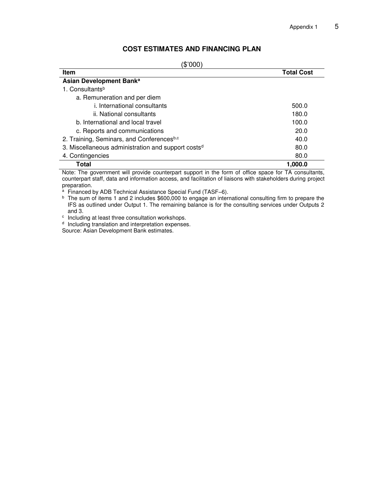## **COST ESTIMATES AND FINANCING PLAN**

(\$'000)

| <b>Item</b>                                                    | <b>Total Cost</b> |
|----------------------------------------------------------------|-------------------|
| Asian Development Bank <sup>a</sup>                            |                   |
| 1. Consultants <sup>b</sup>                                    |                   |
| a. Remuneration and per diem                                   |                   |
| i. International consultants                                   | 500.0             |
| ii. National consultants                                       | 180.0             |
| b. International and local travel                              | 100.0             |
| c. Reports and communications                                  | 20.0              |
| 2. Training, Seminars, and Conferencesb,c                      | 40.0              |
| 3. Miscellaneous administration and support costs <sup>d</sup> | 80.0              |
| 4. Contingencies                                               | 80.0              |
| Total                                                          | 1.000.0           |

Note: The government will provide counterpart support in the form of office space for TA consultants, counterpart staff, data and information access, and facilitation of liaisons with stakeholders during project preparation.

<sup>a</sup> Financed by ADB Technical Assistance Special Fund (TASF–6).

<sup>b</sup> The sum of items 1 and 2 includes \$600,000 to engage an international consulting firm to prepare the IFS as outlined under Output 1. The remaining balance is for the consulting services under Outputs 2 and 3.

c Including at least three consultation workshops.

<sup>d</sup> Including translation and interpretation expenses. Source: Asian Development Bank estimates.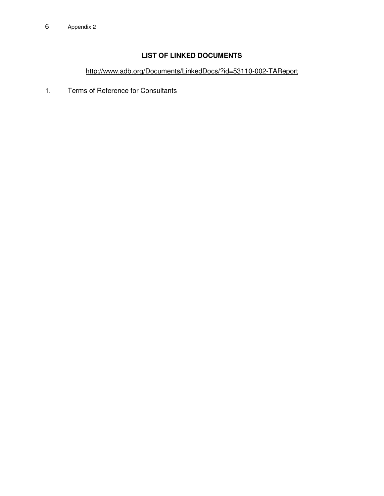# **LIST OF LINKED DOCUMENTS**

<http://www.adb.org/Documents/LinkedDocs/?id=53110-002-TAReport>

1. Terms of Reference for Consultants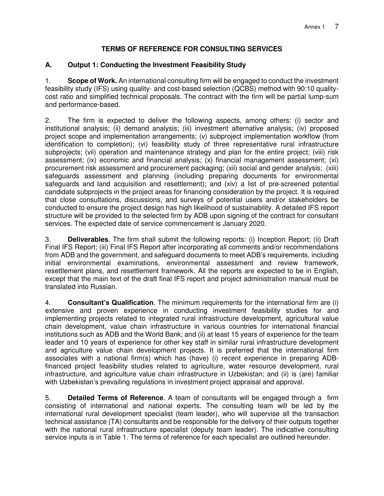#### **TERMS OF REFERENCE FOR CONSULTING SERVICES**

#### **A. Output 1: Conducting the Investment Feasibility Study**

1. **Scope of Work.** An international consulting firm will be engaged to conduct the investment feasibility study (IFS) using quality- and cost-based selection (QCBS) method with 90:10 qualitycost ratio and simplified technical proposals. The contract with the firm will be partial lump-sum and performance-based.

2. The firm is expected to deliver the following aspects, among others: (i) sector and institutional analysis; (ii) demand analysis; (iii) investment alternative analysis; (iv) proposed project scope and implementation arrangements; (v) subproject implementation workflow (from identification to completion); (vi) feasibility study of three representative rural infrastructure subprojects; (vii) operation and maintenance strategy and plan for the entire project; (viii) risk assessment; (ix) economic and financial analysis; (x) financial management assessment; (xi) procurement risk assessment and procurement packaging; (xii) social and gender analysis; (xiii) safeguards assessment and planning (including preparing documents for environmental safeguards and land acquisition and resettlement); and (xiv) a list of pre-screened potential candidate subprojects in the project areas for financing consideration by the project. It is required that close consultations, discussions, and surveys of potential users and/or stakeholders be conducted to ensure the project design has high likelihood of sustainability. A detailed IFS report structure will be provided to the selected firm by ADB upon signing of the contract for consultant services. The expected date of service commencement is January 2020.

3. **Deliverables**. The firm shall submit the following reports: (i) Inception Report; (ii) Draft Final IFS Report; (iii) Final IFS Report after incorporating all comments and/or recommendations from ADB and the government, and safeguard documents to meet ADB's requirements, including initial environmental examinations, environmental assessment and review framework, resettlement plans, and resettlement framework. All the reports are expected to be in English, except that the main text of the draft final IFS report and project administration manual must be translated into Russian.

4. **Consultant's Qualification**. The minimum requirements for the international firm are (i) extensive and proven experience in conducting investment feasibility studies for and implementing projects related to integrated rural infrastructure development, agricultural value chain development, value chain infrastructure in various countries for international financial institutions such as ADB and the World Bank; and (ii) at least 15 years of experience for the team leader and 10 years of experience for other key staff in similar rural infrastructure development and agriculture value chain development projects. It is preferred that the international firm associates with a national firm(s) which has (have) (i) recent experience in preparing ADBfinanced project feasibility studies related to agriculture, water resource development, rural infrastructure, and agriculture value chain infrastructure in Uzbekistan; and (ii) is (are) familiar with Uzbekistan's prevailing regulations in investment project appraisal and approval.

5. **Detailed Terms of Reference**. A team of consultants will be engaged through a firm consisting of international and national experts. The consulting team will be led by the international rural development specialist (team leader), who will supervise all the transaction technical assistance (TA) consultants and be responsible for the delivery of their outputs together with the national rural infrastructure specialist (deputy team leader). The indicative consulting service inputs is in Table 1. The terms of reference for each specialist are outlined hereunder.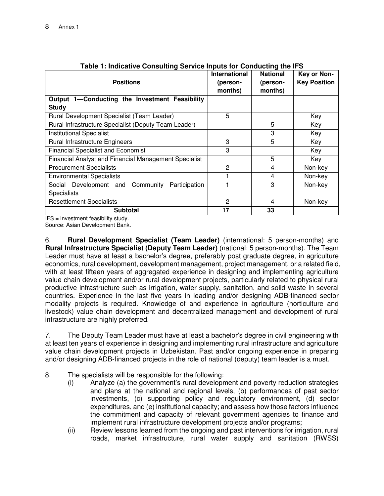| <b>Positions</b>                                      | <b>International</b><br>(person-<br>months) | <b>National</b><br>(person-<br>months) | Key or Non-<br><b>Key Position</b> |
|-------------------------------------------------------|---------------------------------------------|----------------------------------------|------------------------------------|
| Output 1-Conducting the Investment Feasibility        |                                             |                                        |                                    |
| <b>Study</b>                                          |                                             |                                        |                                    |
| Rural Development Specialist (Team Leader)            | 5                                           |                                        | Key                                |
| Rural Infrastructure Specialist (Deputy Team Leader)  |                                             | 5                                      | Key                                |
| <b>Institutional Specialist</b>                       |                                             | 3                                      | Key                                |
| <b>Rural Infrastructure Engineers</b>                 | 3                                           | 5                                      | Key                                |
| <b>Financial Specialist and Economist</b>             | 3                                           |                                        | Key                                |
| Financial Analyst and Financial Management Specialist |                                             | 5                                      | Key                                |
| <b>Procurement Specialists</b>                        | 2                                           | 4                                      | Non-key                            |
| <b>Environmental Specialists</b>                      |                                             | 4                                      | Non-key                            |
| Participation<br>Social Development and Community     |                                             | 3                                      | Non-key                            |
| <b>Specialists</b>                                    |                                             |                                        |                                    |
| <b>Resettlement Specialists</b>                       | 2                                           | 4                                      | Non-key                            |
| <b>Subtotal</b>                                       | 17                                          | 33                                     |                                    |

| Table 1: Indicative Consulting Service Inputs for Conducting the IFS |  |  |
|----------------------------------------------------------------------|--|--|
|                                                                      |  |  |

IFS = investment feasibility study.

Source: Asian Development Bank.

6. **Rural Development Specialist (Team Leader)** (international: 5 person-months) and **Rural Infrastructure Specialist (Deputy Team Leader)** (national: 5 person-months). The Team Leader must have at least a bachelor's degree, preferably post graduate degree, in agriculture economics, rural development, development management, project management, or a related field, with at least fifteen years of aggregated experience in designing and implementing agriculture value chain development and/or rural development projects, particularly related to physical rural productive infrastructure such as irrigation, water supply, sanitation, and solid waste in several countries. Experience in the last five years in leading and/or designing ADB-financed sector modality projects is required. Knowledge of and experience in agriculture (horticulture and livestock) value chain development and decentralized management and development of rural infrastructure are highly preferred.

7. The Deputy Team Leader must have at least a bachelor's degree in civil engineering with at least ten years of experience in designing and implementing rural infrastructure and agriculture value chain development projects in Uzbekistan. Past and/or ongoing experience in preparing and/or designing ADB-financed projects in the role of national (deputy) team leader is a must.

- 8. The specialists will be responsible for the following:
	- (i) Analyze (a) the government's rural development and poverty reduction strategies and plans at the national and regional levels, (b) performances of past sector investments, (c) supporting policy and regulatory environment, (d) sector expenditures, and (e) institutional capacity; and assess how those factors influence the commitment and capacity of relevant government agencies to finance and implement rural infrastructure development projects and/or programs;
	- (ii) Review lessons learned from the ongoing and past interventions for irrigation, rural roads, market infrastructure, rural water supply and sanitation (RWSS)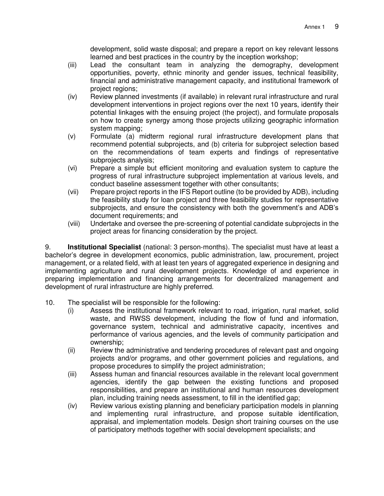development, solid waste disposal; and prepare a report on key relevant lessons learned and best practices in the country by the inception workshop;

- (iii) Lead the consultant team in analyzing the demography, development opportunities, poverty, ethnic minority and gender issues, technical feasibility, financial and administrative management capacity, and institutional framework of project regions;
- (iv) Review planned investments (if available) in relevant rural infrastructure and rural development interventions in project regions over the next 10 years, identify their potential linkages with the ensuing project (the project), and formulate proposals on how to create synergy among those projects utilizing geographic information system mapping;
- (v) Formulate (a) midterm regional rural infrastructure development plans that recommend potential subprojects, and (b) criteria for subproject selection based on the recommendations of team experts and findings of representative subprojects analysis;
- (vi) Prepare a simple but efficient monitoring and evaluation system to capture the progress of rural infrastructure subproject implementation at various levels, and conduct baseline assessment together with other consultants;
- (vii) Prepare project reports in the IFS Report outline (to be provided by ADB), including the feasibility study for loan project and three feasibility studies for representative subprojects, and ensure the consistency with both the government's and ADB's document requirements; and
- (viii) Undertake and oversee the pre-screening of potential candidate subprojects in the project areas for financing consideration by the project.

9. **Institutional Specialist** (national: 3 person-months). The specialist must have at least a bachelor's degree in development economics, public administration, law, procurement, project management, or a related field, with at least ten years of aggregated experience in designing and implementing agriculture and rural development projects. Knowledge of and experience in preparing implementation and financing arrangements for decentralized management and development of rural infrastructure are highly preferred.

- 10. The specialist will be responsible for the following:
	- (i) Assess the institutional framework relevant to road, irrigation, rural market, solid waste, and RWSS development, including the flow of fund and information, governance system, technical and administrative capacity, incentives and performance of various agencies, and the levels of community participation and ownership;
	- (ii) Review the administrative and tendering procedures of relevant past and ongoing projects and/or programs, and other government policies and regulations, and propose procedures to simplify the project administration;
	- (iii) Assess human and financial resources available in the relevant local government agencies, identify the gap between the existing functions and proposed responsibilities, and prepare an institutional and human resources development plan, including training needs assessment, to fill in the identified gap;
	- (iv) Review various existing planning and beneficiary participation models in planning and implementing rural infrastructure, and propose suitable identification, appraisal, and implementation models. Design short training courses on the use of participatory methods together with social development specialists; and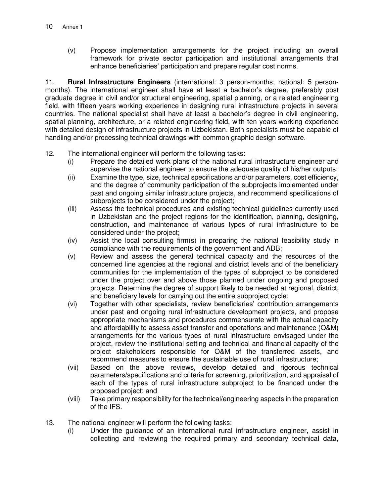(v) Propose implementation arrangements for the project including an overall framework for private sector participation and institutional arrangements that enhance beneficiaries' participation and prepare regular cost norms.

11. **Rural Infrastructure Engineers** (international: 3 person-months; national: 5 personmonths). The international engineer shall have at least a bachelor's degree, preferably post graduate degree in civil and/or structural engineering, spatial planning, or a related engineering field, with fifteen years working experience in designing rural infrastructure projects in several countries. The national specialist shall have at least a bachelor's degree in civil engineering, spatial planning, architecture, or a related engineering field, with ten years working experience with detailed design of infrastructure projects in Uzbekistan. Both specialists must be capable of handling and/or processing technical drawings with common graphic design software.

- 12. The international engineer will perform the following tasks:
	- (i) Prepare the detailed work plans of the national rural infrastructure engineer and supervise the national engineer to ensure the adequate quality of his/her outputs;
	- (ii) Examine the type, size, technical specifications and/or parameters, cost efficiency, and the degree of community participation of the subprojects implemented under past and ongoing similar infrastructure projects, and recommend specifications of subprojects to be considered under the project;
	- (iii) Assess the technical procedures and existing technical guidelines currently used in Uzbekistan and the project regions for the identification, planning, designing, construction, and maintenance of various types of rural infrastructure to be considered under the project;
	- (iv) Assist the local consulting firm(s) in preparing the national feasibility study in compliance with the requirements of the government and ADB;
	- (v) Review and assess the general technical capacity and the resources of the concerned line agencies at the regional and district levels and of the beneficiary communities for the implementation of the types of subproject to be considered under the project over and above those planned under ongoing and proposed projects. Determine the degree of support likely to be needed at regional, district, and beneficiary levels for carrying out the entire subproject cycle;
	- (vi) Together with other specialists, review beneficiaries' contribution arrangements under past and ongoing rural infrastructure development projects, and propose appropriate mechanisms and procedures commensurate with the actual capacity and affordability to assess asset transfer and operations and maintenance (O&M) arrangements for the various types of rural infrastructure envisaged under the project, review the institutional setting and technical and financial capacity of the project stakeholders responsible for O&M of the transferred assets, and recommend measures to ensure the sustainable use of rural infrastructure;
	- (vii) Based on the above reviews, develop detailed and rigorous technical parameters/specifications and criteria for screening, prioritization, and appraisal of each of the types of rural infrastructure subproject to be financed under the proposed project; and
	- (viii) Take primary responsibility for the technical/engineering aspects in the preparation of the IFS.
- 13. The national engineer will perform the following tasks:
	- (i) Under the guidance of an international rural infrastructure engineer, assist in collecting and reviewing the required primary and secondary technical data,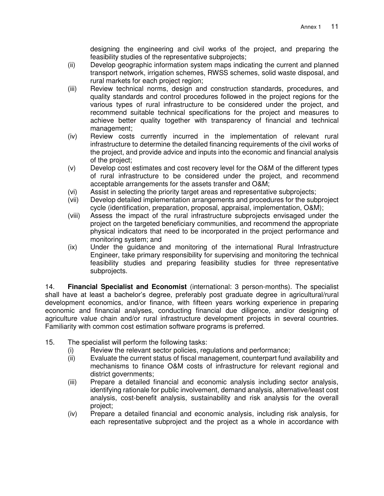designing the engineering and civil works of the project, and preparing the feasibility studies of the representative subprojects;

- (ii) Develop geographic information system maps indicating the current and planned transport network, irrigation schemes, RWSS schemes, solid waste disposal, and rural markets for each project region;
- (iii) Review technical norms, design and construction standards, procedures, and quality standards and control procedures followed in the project regions for the various types of rural infrastructure to be considered under the project, and recommend suitable technical specifications for the project and measures to achieve better quality together with transparency of financial and technical management;
- (iv) Review costs currently incurred in the implementation of relevant rural infrastructure to determine the detailed financing requirements of the civil works of the project, and provide advice and inputs into the economic and financial analysis of the project;
- (v) Develop cost estimates and cost recovery level for the O&M of the different types of rural infrastructure to be considered under the project, and recommend acceptable arrangements for the assets transfer and O&M;
- (vi) Assist in selecting the priority target areas and representative subprojects;
- (vii) Develop detailed implementation arrangements and procedures for the subproject cycle (identification, preparation, proposal, appraisal, implementation, O&M);
- (viii) Assess the impact of the rural infrastructure subprojects envisaged under the project on the targeted beneficiary communities, and recommend the appropriate physical indicators that need to be incorporated in the project performance and monitoring system; and
- (ix) Under the guidance and monitoring of the international Rural Infrastructure Engineer, take primary responsibility for supervising and monitoring the technical feasibility studies and preparing feasibility studies for three representative subprojects.

14. **Financial Specialist and Economist** (international: 3 person-months). The specialist shall have at least a bachelor's degree, preferably post graduate degree in agricultural/rural development economics, and/or finance, with fifteen years working experience in preparing economic and financial analyses, conducting financial due diligence, and/or designing of agriculture value chain and/or rural infrastructure development projects in several countries. Familiarity with common cost estimation software programs is preferred.

- 15. The specialist will perform the following tasks:
	- (i) Review the relevant sector policies, regulations and performance;
	- (ii) Evaluate the current status of fiscal management, counterpart fund availability and mechanisms to finance O&M costs of infrastructure for relevant regional and district governments;
	- (iii) Prepare a detailed financial and economic analysis including sector analysis, identifying rationale for public involvement, demand analysis, alternative/least cost analysis, cost-benefit analysis, sustainability and risk analysis for the overall project;
	- (iv) Prepare a detailed financial and economic analysis, including risk analysis, for each representative subproject and the project as a whole in accordance with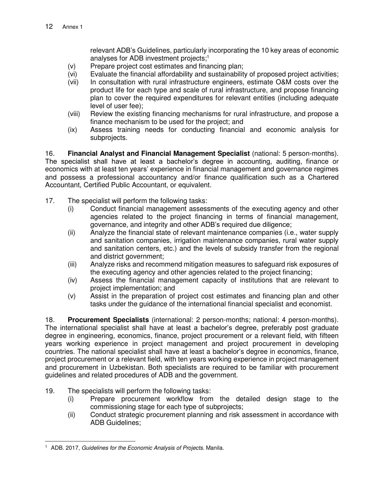relevant ADB's Guidelines, particularly incorporating the 10 key areas of economic analyses for ADB investment projects;<sup>1</sup>

- (v) Prepare project cost estimates and financing plan;
- (vi) Evaluate the financial affordability and sustainability of proposed project activities;
- (vii) In consultation with rural infrastructure engineers, estimate O&M costs over the product life for each type and scale of rural infrastructure, and propose financing plan to cover the required expenditures for relevant entities (including adequate level of user fee);
- (viii) Review the existing financing mechanisms for rural infrastructure, and propose a finance mechanism to be used for the project; and
- (ix) Assess training needs for conducting financial and economic analysis for subprojects.

16. **Financial Analyst and Financial Management Specialist** (national: 5 person-months). The specialist shall have at least a bachelor's degree in accounting, auditing, finance or economics with at least ten years' experience in financial management and governance regimes and possess a professional accountancy and/or finance qualification such as a Chartered Accountant, Certified Public Accountant, or equivalent.

- 17. The specialist will perform the following tasks:
	- (i) Conduct financial management assessments of the executing agency and other agencies related to the project financing in terms of financial management, governance, and integrity and other ADB's required due diligence;
	- (ii) Analyze the financial state of relevant maintenance companies (i.e., water supply and sanitation companies, irrigation maintenance companies, rural water supply and sanitation centers, etc.) and the levels of subsidy transfer from the regional and district government;
	- (iii) Analyze risks and recommend mitigation measures to safeguard risk exposures of the executing agency and other agencies related to the project financing;
	- (iv) Assess the financial management capacity of institutions that are relevant to project implementation; and
	- (v) Assist in the preparation of project cost estimates and financing plan and other tasks under the guidance of the international financial specialist and economist.

18. **Procurement Specialists** (international: 2 person-months; national: 4 person-months). The international specialist shall have at least a bachelor's degree, preferably post graduate degree in engineering, economics, finance, project procurement or a relevant field, with fifteen years working experience in project management and project procurement in developing countries. The national specialist shall have at least a bachelor's degree in economics, finance, project procurement or a relevant field, with ten years working experience in project management and procurement in Uzbekistan. Both specialists are required to be familiar with procurement guidelines and related procedures of ADB and the government.

- 19. The specialists will perform the following tasks:
	- (i) Prepare procurement workflow from the detailed design stage to the commissioning stage for each type of subprojects;
	- (ii) Conduct strategic procurement planning and risk assessment in accordance with ADB Guidelines;

 $\overline{a}$ <sup>1</sup> ADB. 2017, Guidelines for the Economic Analysis of Projects. Manila.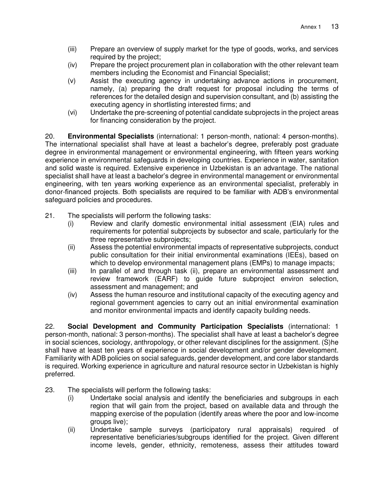- (iii) Prepare an overview of supply market for the type of goods, works, and services required by the project;
- (iv) Prepare the project procurement plan in collaboration with the other relevant team members including the Economist and Financial Specialist;
- (v) Assist the executing agency in undertaking advance actions in procurement, namely, (a) preparing the draft request for proposal including the terms of references for the detailed design and supervision consultant, and (b) assisting the executing agency in shortlisting interested firms; and
- (vi) Undertake the pre-screening of potential candidate subprojects in the project areas for financing consideration by the project.

20. **Environmental Specialists** (international: 1 person-month, national: 4 person-months). The international specialist shall have at least a bachelor's degree, preferably post graduate degree in environmental management or environmental engineering, with fifteen years working experience in environmental safeguards in developing countries. Experience in water, sanitation and solid waste is required. Extensive experience in Uzbekistan is an advantage. The national specialist shall have at least a bachelor's degree in environmental management or environmental engineering, with ten years working experience as an environmental specialist, preferably in donor-financed projects. Both specialists are required to be familiar with ADB's environmental safeguard policies and procedures.

- 21. The specialists will perform the following tasks:
	- (i) Review and clarify domestic environmental initial assessment (EIA) rules and requirements for potential subprojects by subsector and scale, particularly for the three representative subprojects;
	- (ii) Assess the potential environmental impacts of representative subprojects, conduct public consultation for their initial environmental examinations (IEEs), based on which to develop environmental management plans (EMPs) to manage impacts;
	- (iii) In parallel of and through task (ii), prepare an environmental assessment and review framework (EARF) to guide future subproject environ selection, assessment and management; and
	- (iv) Assess the human resource and institutional capacity of the executing agency and regional government agencies to carry out an initial environmental examination and monitor environmental impacts and identify capacity building needs.

22. **Social Development and Community Participation Specialists** (international: 1 person-month, national: 3 person-months). The specialist shall have at least a bachelor's degree in social sciences, sociology, anthropology, or other relevant disciplines for the assignment. (S)he shall have at least ten years of experience in social development and/or gender development. Familiarity with ADB policies on social safeguards, gender development, and core labor standards is required. Working experience in agriculture and natural resource sector in Uzbekistan is highly preferred.

- 23. The specialists will perform the following tasks:
	- (i) Undertake social analysis and identify the beneficiaries and subgroups in each region that will gain from the project, based on available data and through the mapping exercise of the population (identify areas where the poor and low-income groups live);
	- (ii) Undertake sample surveys (participatory rural appraisals) required of representative beneficiaries/subgroups identified for the project. Given different income levels, gender, ethnicity, remoteness, assess their attitudes toward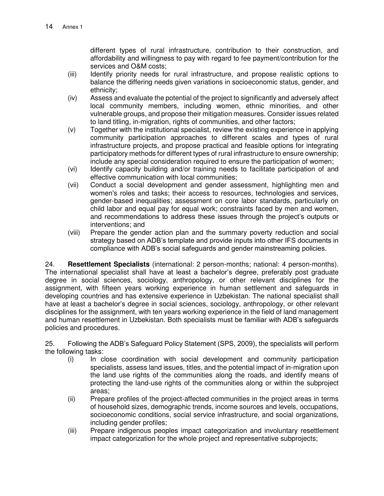different types of rural infrastructure, contribution to their construction, and affordability and willingness to pay with regard to fee payment/contribution for the services and O&M costs;

- (iii) Identify priority needs for rural infrastructure, and propose realistic options to balance the differing needs given variations in socioeconomic status, gender, and ethnicity;
- (iv) Assess and evaluate the potential of the project to significantly and adversely affect local community members, including women, ethnic minorities, and other vulnerable groups, and propose their mitigation measures. Consider issues related to land titling, in-migration, rights of communities, and other factors;
- (v) Together with the institutional specialist, review the existing experience in applying community participation approaches to different scales and types of rural infrastructure projects, and propose practical and feasible options for integrating participatory methods for different types of rural infrastructure to ensure ownership; include any special consideration required to ensure the participation of women;
- (vi) Identify capacity building and/or training needs to facilitate participation of and effective communication with local communities;
- (vii) Conduct a social development and gender assessment, highlighting men and women's roles and tasks; their access to resources, technologies and services, gender-based inequalities; assessment on core labor standards, particularly on child labor and equal pay for equal work; constraints faced by men and women, and recommendations to address these issues through the project's outputs or interventions; and
- (viii) Prepare the gender action plan and the summary poverty reduction and social strategy based on ADB's template and provide inputs into other IFS documents in compliance with ADB's social safeguards and gender mainstreaming policies.

24. **Resettlement Specialists** (international: 2 person-months; national: 4 person-months). The international specialist shall have at least a bachelor's degree, preferably post graduate degree in social sciences, sociology, anthropology, or other relevant disciplines for the assignment, with fifteen years working experience in human settlement and safeguards in developing countries and has extensive experience in Uzbekistan. The national specialist shall have at least a bachelor's degree in social sciences, sociology, anthropology, or other relevant disciplines for the assignment, with ten years working experience in the field of land management and human resettlement in Uzbekistan. Both specialists must be familiar with ADB's safeguards policies and procedures.

25. Following the ADB's Safeguard Policy Statement (SPS, 2009), the specialists will perform the following tasks:

- (i) In close coordination with social development and community participation specialists, assess land issues, titles, and the potential impact of in-migration upon the land use rights of the communities along the roads, and identify means of protecting the land-use rights of the communities along or within the subproject areas;
- (ii) Prepare profiles of the project-affected communities in the project areas in terms of household sizes, demographic trends, income sources and levels, occupations, socioeconomic conditions, social service infrastructure, and social organizations, including gender profiles;
- (iii) Prepare indigenous peoples impact categorization and involuntary resettlement impact categorization for the whole project and representative subprojects;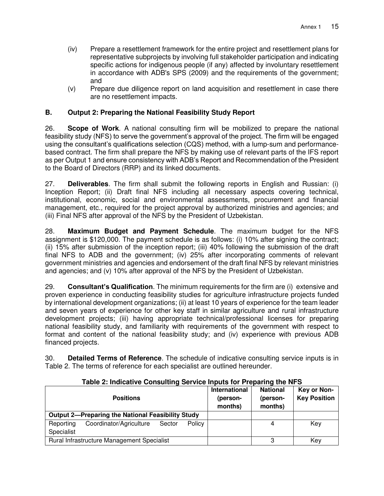- (iv) Prepare a resettlement framework for the entire project and resettlement plans for representative subprojects by involving full stakeholder participation and indicating specific actions for indigenous people (if any) affected by involuntary resettlement in accordance with ADB's SPS (2009) and the requirements of the government; and
- (v) Prepare due diligence report on land acquisition and resettlement in case there are no resettlement impacts.

#### **B. Output 2: Preparing the National Feasibility Study Report**

26. **Scope of Work**. A national consulting firm will be mobilized to prepare the national feasibility study (NFS) to serve the government's approval of the project. The firm will be engaged using the consultant's qualifications selection (CQS) method, with a lump-sum and performancebased contract. The firm shall prepare the NFS by making use of relevant parts of the IFS report as per Output 1 and ensure consistency with ADB's Report and Recommendation of the President to the Board of Directors (RRP) and its linked documents.

27. **Deliverables**. The firm shall submit the following reports in English and Russian: (i) Inception Report; (ii) Draft final NFS including all necessary aspects covering technical, institutional, economic, social and environmental assessments, procurement and financial management, etc., required for the project approval by authorized ministries and agencies; and (iii) Final NFS after approval of the NFS by the President of Uzbekistan.

28. **Maximum Budget and Payment Schedule**. The maximum budget for the NFS assignment is \$120,000. The payment schedule is as follows: (i) 10% after signing the contract; (ii) 15% after submission of the inception report; (iii) 40% following the submission of the draft final NFS to ADB and the government; (iv) 25% after incorporating comments of relevant government ministries and agencies and endorsement of the draft final NFS by relevant ministries and agencies; and (v) 10% after approval of the NFS by the President of Uzbekistan.

29. **Consultant's Qualification**. The minimum requirements for the firm are (i) extensive and proven experience in conducting feasibility studies for agriculture infrastructure projects funded by international development organizations; (ii) at least 10 years of experience for the team leader and seven years of experience for other key staff in similar agriculture and rural infrastructure development projects; (iii) having appropriate technical/professional licenses for preparing national feasibility study, and familiarity with requirements of the government with respect to format and content of the national feasibility study; and (iv) experience with previous ADB financed projects.

30. **Detailed Terms of Reference**. The schedule of indicative consulting service inputs is in Table 2. The terms of reference for each specialist are outlined hereunder.

| <b>Positions</b>                                         | International<br>(person-<br>months) | <b>National</b><br>(person-<br>months) | Key or Non-<br><b>Key Position</b> |
|----------------------------------------------------------|--------------------------------------|----------------------------------------|------------------------------------|
| <b>Output 2-Preparing the National Feasibility Study</b> |                                      |                                        |                                    |
| Coordinator/Agriculture<br>Policy<br>Reporting<br>Sector |                                      |                                        | Key                                |
| Specialist                                               |                                      |                                        |                                    |
| Rural Infrastructure Management Specialist               |                                      | З                                      | Key                                |

**Table 2: Indicative Consulting Service Inputs for Preparing the NFS**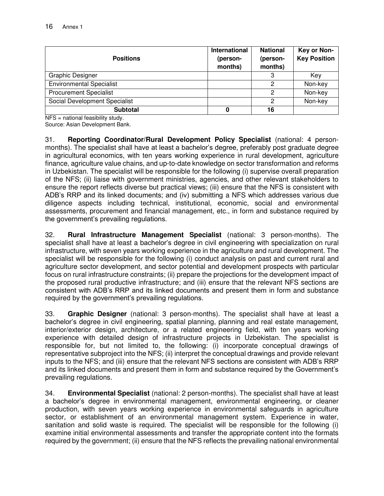| <b>Positions</b>                | International<br>(person-<br>months) | <b>National</b><br>(person-<br>months) | Key or Non-<br><b>Key Position</b> |
|---------------------------------|--------------------------------------|----------------------------------------|------------------------------------|
| Graphic Designer                |                                      | 3                                      | Key                                |
| <b>Environmental Specialist</b> |                                      | 2                                      | Non-key                            |
| <b>Procurement Specialist</b>   |                                      | 2                                      | Non-key                            |
| Social Development Specialist   |                                      | 2                                      | Non-key                            |
| <b>Subtotal</b>                 | 0                                    | 16                                     |                                    |

NFS = national feasibility study.

Source: Asian Development Bank.

31. **Reporting Coordinator/Rural Development Policy Specialist** (national: 4 personmonths). The specialist shall have at least a bachelor's degree, preferably post graduate degree in agricultural economics, with ten years working experience in rural development, agriculture finance, agriculture value chains, and up-to-date knowledge on sector transformation and reforms in Uzbekistan. The specialist will be responsible for the following (i) supervise overall preparation of the NFS; (ii) liaise with government ministries, agencies, and other relevant stakeholders to ensure the report reflects diverse but practical views; (iii) ensure that the NFS is consistent with ADB's RRP and its linked documents; and (iv) submitting a NFS which addresses various due diligence aspects including technical, institutional, economic, social and environmental assessments, procurement and financial management, etc., in form and substance required by the government's prevailing regulations.

32. **Rural Infrastructure Management Specialist** (national: 3 person-months). The specialist shall have at least a bachelor's degree in civil engineering with specialization on rural infrastructure, with seven years working experience in the agriculture and rural development. The specialist will be responsible for the following (i) conduct analysis on past and current rural and agriculture sector development, and sector potential and development prospects with particular focus on rural infrastructure constraints; (ii) prepare the projections for the development impact of the proposed rural productive infrastructure; and (iii) ensure that the relevant NFS sections are consistent with ADB's RRP and its linked documents and present them in form and substance required by the government's prevailing regulations.

33. **Graphic Designer** (national: 3 person-months). The specialist shall have at least a bachelor's degree in civil engineering, spatial planning, planning and real estate management, interior/exterior design, architecture, or a related engineering field, with ten years working experience with detailed design of infrastructure projects in Uzbekistan. The specialist is responsible for, but not limited to, the following: (i) incorporate conceptual drawings of representative subproject into the NFS; (ii) interpret the conceptual drawings and provide relevant inputs to the NFS; and (iii) ensure that the relevant NFS sections are consistent with ADB's RRP and its linked documents and present them in form and substance required by the Government's prevailing regulations.

34. **Environmental Specialist** (national: 2 person-months). The specialist shall have at least a bachelor's degree in environmental management, environmental engineering, or cleaner production, with seven years working experience in environmental safeguards in agriculture sector, or establishment of an environmental management system. Experience in water, sanitation and solid waste is required. The specialist will be responsible for the following (i) examine initial environmental assessments and transfer the appropriate content into the formats required by the government; (ii) ensure that the NFS reflects the prevailing national environmental